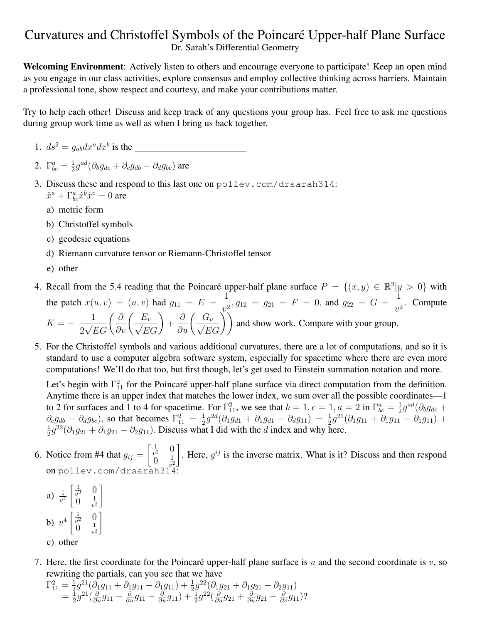## Curvatures and Christoffel Symbols of the Poincaré Upper-half Plane Surface Dr. Sarah's Differential Geometry

Welcoming Environment: Actively listen to others and encourage everyone to participate! Keep an open mind as you engage in our class activities, explore consensus and employ collective thinking across barriers. Maintain a professional tone, show respect and courtesy, and make your contributions matter.

Try to help each other! Discuss and keep track of any questions your group has. Feel free to ask me questions during group work time as well as when I bring us back together.

- 1.  $ds^2 = g_{ab}dx^a dx^b$  is the
- 2.  $\Gamma^a_{bc} = \frac{1}{2}$  $\frac{1}{2}g^{ad}(\partial_b g_{dc} + \partial_c g_{db} - \partial_d g_{bc})$  are
- 3. Discuss these and respond to this last one on pollev.com/drsarah314:  $\ddot{x}^a + \Gamma^a_{bc} \dot{x}^b \dot{x}^c = 0$  are
	- a) metric form
	- b) Christoffel symbols
	- c) geodesic equations
	- d) Riemann curvature tensor or Riemann-Christoffel tensor
	- e) other
- 4. Recall from the 5.4 reading that the Poincaré upper-half plane surface  $P = \{(x, y) \in \mathbb{R}^2 | y > 0\}$  with the patch  $x(u, v) = (u, v)$  had  $g_{11} = E =$ 1  $\frac{1}{v_1^2}$ ,  $g_{12} = g_{21} = F = 0$ , and  $g_{22} = G =$ 1  $\frac{1}{v^2}$ . Compute  $K = -\frac{1}{15}$ 2  $\frac{1}{\sqrt{EG}}\bigg(\frac{\partial}{\partial v}\bigg(\frac{E_v}{\sqrt{EG}}\bigg)$  $+$  $\frac{\partial}{\partial u} \left( \frac{G_u}{\sqrt{EG}} \right)$  and show work. Compare with your group.
- 5. For the Christoffel symbols and various additional curvatures, there are a lot of computations, and so it is standard to use a computer algebra software system, especially for spacetime where there are even more computations! We'll do that too, but first though, let's get used to Einstein summation notation and more.

Let's begin with  $\Gamma_{11}^2$  for the Poincaré upper-half plane surface via direct computation from the definition. Anytime there is an upper index that matches the lower index, we sum over all the possible coordinates—1 to 2 for surfaces and 1 to 4 for spacetime. For  $\Gamma_{11}^2$ , we see that  $b = 1, c = 1, a = 2$  in  $\Gamma_{bc}^a = \frac{1}{2}$  $\frac{1}{2}g^{ad}(\partial_b g_{dc} +$  $\partial_c g_{db} - \partial_d g_{bc}$ , so that becomes  $\Gamma_{11}^2 = \frac{1}{2}$  $\frac{1}{2}g^{2d}(\partial_1g_{d1} + \partial_1g_{d1} - \partial_dg_{11}) = \frac{1}{2}g^{21}(\partial_1g_{11} + \partial_1g_{11} - \partial_1g_{11}) +$ 1  $\frac{1}{2}g^{22}(\partial_1g_{21} + \partial_1g_{21} - \partial_2g_{11})$ . Discuss what I did with the d index and why here.

- 6. Notice from #4 that  $g_{ij} =$  $\frac{1}{2}$  $\frac{1}{v^2}$  0  $0 \frac{1}{n^2}$  $\overline{v^2}$ 1 . Here,  $g^{ij}$  is the inverse matrix. What is it? Discuss and then respond on pollev.com/drsarah314:
	- a)  $\frac{1}{v^4}$  $\lceil \frac{1}{n^2} \rceil$  $\frac{1}{v^2}$  0  $0 \frac{1}{n^2}$  $\overline{v^2}$ 1 b)  $v^4 \left[ \frac{1}{v^2} \right]$  $\frac{1}{v^2}$  0  $0 \frac{1}{n^2}$  $\overline{v^2}$ 1 c) other
- 7. Here, the first coordinate for the Poincaré upper-half plane surface is  $u$  and the second coordinate is  $v$ , so rewriting the partials, can you see that we have

$$
\begin{aligned} \Gamma_{11}^2 &= \frac{1}{2} g^{21} (\partial_1 g_{11} + \partial_1 g_{11} - \partial_1 g_{11}) + \frac{1}{2} g^{22} (\partial_1 g_{21} + \partial_1 g_{21} - \partial_2 g_{11}) \\ &= \frac{1}{2} g^{21} (\frac{\partial}{\partial u} g_{11} + \frac{\partial}{\partial u} g_{11} - \frac{\partial}{\partial u} g_{11}) + \frac{1}{2} g^{22} (\frac{\partial}{\partial u} g_{21} + \frac{\partial}{\partial u} g_{21} - \frac{\partial}{\partial v} g_{11}) \end{aligned}
$$